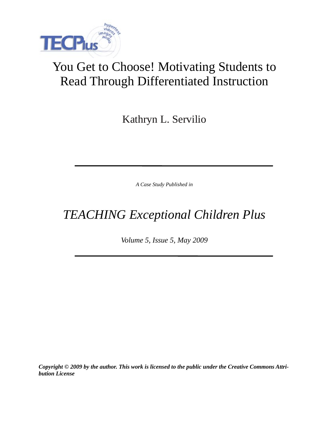

# You Get to Choose! Motivating Students to Read Through Differentiated Instruction

Kathryn L. Servilio

*A Case Study Published in*

*TEACHING Exceptional Children Plus*

*Volume 5, Issue 5, May 2009*

*Copyright © 2009 by the author. This work is licensed to the public under the Creative Commons Attribution License*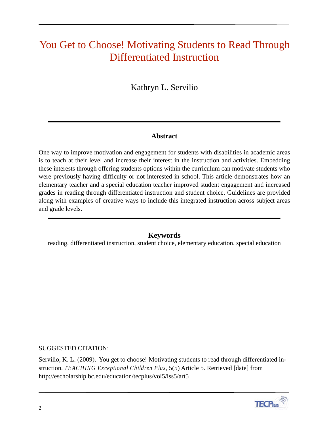## You Get to Choose! Motivating Students to Read Through Differentiated Instruction

## Kathryn L. Servilio

#### **Abstract**

One way to improve motivation and engagement for students with disabilities in academic areas is to teach at their level and increase their interest in the instruction and activities. Embedding these interests through offering students options within the curriculum can motivate students who were previously having difficulty or not interested in school. This article demonstrates how an elementary teacher and a special education teacher improved student engagement and increased grades in reading through differentiated instruction and student choice. Guidelines are provided along with examples of creative ways to include this integrated instruction across subject areas and grade levels.

#### **Keywords**

reading, differentiated instruction, student choice, elementary education, special education

SUGGESTED CITATION:

Servilio, K. L. (2009). You get to choose! Motivating students to read through differentiated instruction. *TEACHING Exceptional Children Plus,* 5(5) Article 5. Retrieved [date] from http://escholarship.bc.edu/education/tecplus/vol5/iss5/art5

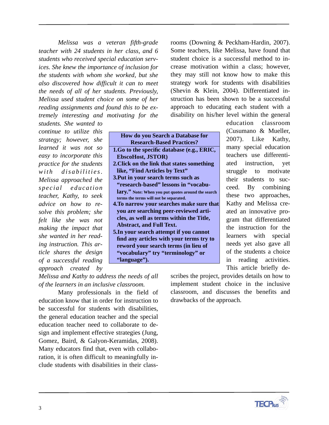*Melissa was a veteran fifth-grade teacher with 24 students in her class, and 6 students who received special education services. She knew the importance of inclusion for the students with whom she worked, but she also discovered how difficult it can to meet the needs of all of her students. Previously, Melissa used student choice on some of her reading assignments and found this to be extremely interesting and motivating for the* 

*students. She wanted to continue to utilize this strategy; however, she learned it was not so easy to incorporate this practice for the students*   $with$  *disabilities. Melissa approached the spe c ial education teacher, Kathy, to seek advice on how to resolve this problem; she felt like she was not making the impact that she wanted in her reading instruction. This article shares the design of a successful reading approach created by* 

| <b>How do you Search a Database for</b>            |
|----------------------------------------------------|
| <b>Research-Based Practices?</b>                   |
| 1.Go to the specific database (e.g., ERIC,         |
| <b>EbscoHost, JSTOR)</b>                           |
| 2. Click on the link that states something         |
| like, "Find Articles by Text"                      |
| 3. Put in your search terms such as                |
| "research-based" lessons in "vocabu-               |
| lary." Note: When you put quotes around the search |
| terms the terms will not be separated.             |
| 4. To narrow your searches make sure that          |
| you are searching peer-reviewed arti-              |
| cles, as well as terms within the Title,           |
| <b>Abstract, and Full Text.</b>                    |
| 5. In your search attempt if you cannot            |
| find any articles with your terms try to           |
| reword your search terms (in lieu of               |
| "vocabulary" try "terminology" or                  |
| "language").                                       |
|                                                    |

rooms (Downing & Peckham-Hardin, 2007). Some teachers, like Melissa, have found that student choice is a successful method to increase motivation within a class; however, they may still not know how to make this strategy work for students with disabilities (Shevin & Klein, 2004). Differentiated instruction has been shown to be a successful approach to educating each student with a disability on his/her level within the general

> education classroom (Cusumano & Mueller, 2007). Like Kathy, many special education teachers use differentiated instruction, yet struggle to motivate their students to succeed. By combining these two approaches, Kathy and Melissa created an innovative program that differentiated the instruction for the learners with special needs yet also gave all of the students a choice in reading activities. This article briefly de-

*Melissa and Kathy to address the needs of all of the learners in an inclusive classroom.* 

Many professionals in the field of education know that in order for instruction to be successful for students with disabilities, the general education teacher and the special education teacher need to collaborate to design and implement effective strategies (Jung, Gomez, Baird, & Galyon-Keramidas, 2008). Many educators find that, even with collaboration, it is often difficult to meaningfully include students with disabilities in their class-

scribes the project, provides details on how to implement student choice in the inclusive classroom, and discusses the benefits and drawbacks of the approach.

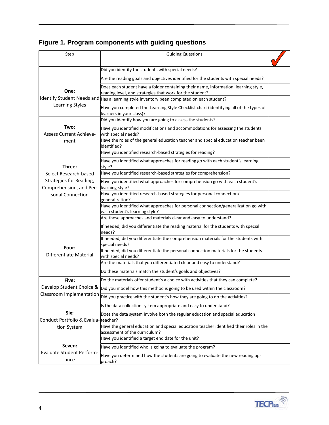| Step                                                       | <b>Guiding Questions</b>                                                                                                                        |  |  |  |  |  |
|------------------------------------------------------------|-------------------------------------------------------------------------------------------------------------------------------------------------|--|--|--|--|--|
|                                                            |                                                                                                                                                 |  |  |  |  |  |
|                                                            | Did you identify the students with special needs?                                                                                               |  |  |  |  |  |
|                                                            | Are the reading goals and objectives identified for the students with special needs?                                                            |  |  |  |  |  |
| One:                                                       | Does each student have a folder containing their name, information, learning style,<br>reading level, and strategies that work for the student? |  |  |  |  |  |
| Identify Student Needs and                                 | Has a learning style inventory been completed on each student?                                                                                  |  |  |  |  |  |
| Learning Styles                                            | Have you completed the Learning Style Checklist chart (identifying all of the types of<br>learners in your class)?                              |  |  |  |  |  |
|                                                            | Did you identify how you are going to assess the students?                                                                                      |  |  |  |  |  |
| Two:<br><b>Assess Current Achieve-</b><br>ment             | Have you identified modifications and accommodations for assessing the students<br>with special needs?                                          |  |  |  |  |  |
|                                                            | Have the roles of the general education teacher and special education teacher been<br>identified?                                               |  |  |  |  |  |
|                                                            | Have you identified research-based strategies for reading?                                                                                      |  |  |  |  |  |
| Three:                                                     | Have you identified what approaches for reading go with each student's learning<br>style?                                                       |  |  |  |  |  |
| Select Research-based                                      | Have you identified research-based strategies for comprehension?                                                                                |  |  |  |  |  |
| Strategies for Reading,<br>Comprehension, and Per-         | Have you identified what approaches for comprehension go with each student's<br>learning style?                                                 |  |  |  |  |  |
| sonal Connection                                           | Have you identified research-based strategies for personal connection/<br>generalization?                                                       |  |  |  |  |  |
|                                                            | Have you identified what approaches for personal connection/generalization go with<br>each student's learning style?                            |  |  |  |  |  |
|                                                            | Are these approaches and materials clear and easy to understand?                                                                                |  |  |  |  |  |
|                                                            | If needed, did you differentiate the reading material for the students with special<br>needs?                                                   |  |  |  |  |  |
|                                                            | If needed, did you differentiate the comprehension materials for the students with<br>special needs?                                            |  |  |  |  |  |
| Four:<br>Differentiate Material                            | If needed, did you differentiate the personal connection materials for the students<br>with special needs?                                      |  |  |  |  |  |
|                                                            | Are the materials that you differentiated clear and easy to understand?                                                                         |  |  |  |  |  |
|                                                            | Do these materials match the student's goals and objectives?                                                                                    |  |  |  |  |  |
| Five:                                                      | Do the materials offer student's a choice with activities that they can complete?                                                               |  |  |  |  |  |
| Develop Student Choice &                                   | Did you model how this method is going to be used within the classroom?                                                                         |  |  |  |  |  |
| Classroom Implementation                                   | Did you practice with the student's how they are going to do the activities?                                                                    |  |  |  |  |  |
| Six:<br>Conduct Portfolio & Evalua-teacher?<br>tion System | Is the data collection system appropriate and easy to understand?                                                                               |  |  |  |  |  |
|                                                            | Does the data system involve both the regular education and special education                                                                   |  |  |  |  |  |
|                                                            | Have the general education and special education teacher identified their roles in the<br>assessment of the curriculum?                         |  |  |  |  |  |
|                                                            | Have you identified a target end date for the unit?                                                                                             |  |  |  |  |  |
| Seven:                                                     | Have you identified who is going to evaluate the program?                                                                                       |  |  |  |  |  |
| <b>Evaluate Student Perform-</b><br>ance                   | Have you determined how the students are going to evaluate the new reading ap-<br>proach?                                                       |  |  |  |  |  |

## Figure 1. Program components with guiding questions

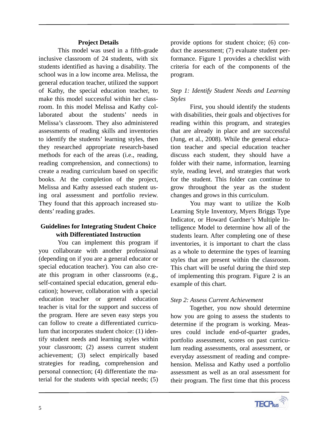#### **Project Details**

This model was used in a fifth-grade inclusive classroom of 24 students, with six students identified as having a disability. The school was in a low income area. Melissa, the general education teacher, utilized the support of Kathy, the special education teacher, to make this model successful within her classroom. In this model Melissa and Kathy collaborated about the students' needs in Melissa's classroom. They also administered assessments of reading skills and inventories to identify the students' learning styles, then they researched appropriate research-based methods for each of the areas (i.e., reading, reading comprehension, and connections) to create a reading curriculum based on specific books. At the completion of the project, Melissa and Kathy assessed each student using oral assessment and portfolio review. They found that this approach increased students' reading grades.

#### **Guidelines for Integrating Student Choice with Differentiated Instruction**

You can implement this program if you collaborate with another professional (depending on if you are a general educator or special education teacher). You can also create this program in other classrooms (e.g., self-contained special education, general education); however, collaboration with a special education teacher or general education teacher is vital for the support and success of the program. Here are seven easy steps you can follow to create a differentiated curriculum that incorporates student choice: (1) identify student needs and learning styles within your classroom; (2) assess current student achievement; (3) select empirically based strategies for reading, comprehension and personal connection; (4) differentiate the material for the students with special needs; (5) provide options for student choice; (6) conduct the assessment; (7) evaluate student performance. Figure 1 provides a checklist with criteria for each of the components of the program.

#### *Step 1: Identify Student Needs and Learning Styles*

First, you should identify the students with disabilities, their goals and objectives for reading within this program, and strategies that are already in place and are successful (Jung, et al., 2008). While the general education teacher and special education teacher discuss each student, they should have a folder with their name, information, learning style, reading level, and strategies that work for the student. This folder can continue to grow throughout the year as the student changes and grows in this curriculum.

You may want to utilize the Kolb Learning Style Inventory, Myers Briggs Type Indicator, or Howard Gardner's Multiple Intelligence Model to determine how all of the students learn. After completing one of these inventories, it is important to chart the class as a whole to determine the types of learning styles that are present within the classroom. This chart will be useful during the third step of implementing this program. Figure 2 is an example of this chart.

#### *Step 2: Assess Current Achievement*

Together, you now should determine how you are going to assess the students to determine if the program is working. Measures could include end-of-quarter grades, portfolio assessment, scores on past curriculum reading assessments, oral assessment, or everyday assessment of reading and comprehension. Melissa and Kathy used a portfolio assessment as well as an oral assessment for their program. The first time that this process

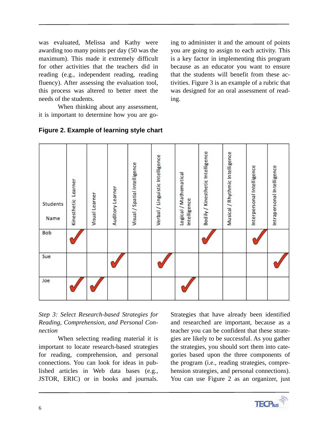was evaluated, Melissa and Kathy were awarding too many points per day (50 was the maximum). This made it extremely difficult for other activities that the teachers did in reading (e.g., independent reading, reading fluency). After assessing the evaluation tool, this process was altered to better meet the needs of the students.

When thinking about any assessment, it is important to determine how you are go-

ing to administer it and the amount of points you are going to assign to each activity. This is a key factor in implementing this program because as an educator you want to ensure that the students will benefit from these activities. Figure 3 is an example of a rubric that was designed for an oral assessment of reading.

| Students<br>Name<br>Bob | Kinesthetic Learner | Visual Learner | Auditory Learner | Visual / Spatial Intelligence | Verbal / Linguistic Intelligence | Logical / Mathematical<br>Intelligence | Bodily / Kinesthetic Intelligence | Musical / Rhythmic Intelligence | Interpersonal Intelligence | Intrapersonal Intelligence |
|-------------------------|---------------------|----------------|------------------|-------------------------------|----------------------------------|----------------------------------------|-----------------------------------|---------------------------------|----------------------------|----------------------------|
| Sue                     |                     |                |                  |                               |                                  |                                        |                                   |                                 |                            |                            |
| Joe                     |                     |                |                  |                               |                                  |                                        |                                   |                                 |                            |                            |

#### **Figure 2. Example of learning style chart**

*Step 3: Select Research-based Strategies for Reading, Comprehension, and Personal Connection*

When selecting reading material it is important to locate research-based strategies for reading, comprehension, and personal connections. You can look for ideas in published articles in Web data bases (e.g., JSTOR, ERIC) or in books and journals.

Strategies that have already been identified and researched are important, because as a teacher you can be confident that these strategies are likely to be successful. As you gather the strategies, you should sort them into categories based upon the three components of the program (i.e., reading strategies, comprehension strategies, and personal connections). You can use Figure 2 as an organizer, just

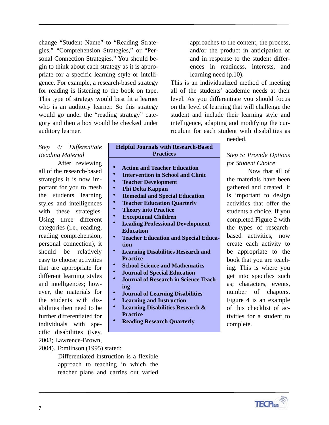change "Student Name" to "Reading Strategies," "Comprehension Strategies," or "Personal Connection Strategies." You should begin to think about each strategy as it is appropriate for a specific learning style or intelligence. For example, a research-based strategy for reading is listening to the book on tape. This type of strategy would best fit a learner who is an auditory learner. So this strategy would go under the "reading strategy" category and then a box would be checked under auditory learner.

*Step 4: Differentiate* 

all of the research-based strategies it is now important for you to mesh the students learning styles and intelligences with these strategies. Using three different categories (i.e., reading, reading comprehension, personal connection), it should be relatively easy to choose activities that are appropriate for different learning styles and intelligences; however, the materials for the students with disabilities then need to be further differentiated for individuals with specific disabilities (Key, 2008; Lawrence-Brown,

After reviewing

2004). Tomlinson (1995) stated:

Differentiated instruction is a flexible approach to teaching in which the teacher plans and carries out varied

*Reading Material*

approaches to the content, the process, and/or the product in anticipation of and in response to the student differences in readiness, interests, and learning need (p.10).

This is an individualized method of meeting all of the students' academic needs at their level. As you differentiate you should focus on the level of learning that will challenge the student and include their learning style and intelligence, adapting and modifying the curriculum for each student with disabilities as

needed.

### **Helpful Journals with Research-Based Practices**

- **Action and Teacher Education** • **Intervention in School and Clinic**
- • **Teacher Development**
- • **Phi Delta Kappan**
- • **Remedial and Special Education**
- • **Teacher Education Quarterly**
- • **Theory into Practice**
- • **Exceptional Children**
- **Leading Professional Development Education**
- **Teacher Education and Special Education**
- **Learning Disabilities Research and Practice**
- **School Science and Mathematics**
- **Journal of Special Education**
- **Journal of Research in Science Teaching**
- **Journal of Learning Disabilities**
- **Learning and Instruction**
- **Learning Disabilities Research & Practice**
- **Reading Research Quarterly**

*Step 5: Provide Options for Student Choice*  Now that all of

the materials have been gathered and created, it is important to design activities that offer the students a choice. If you completed Figure 2 with the types of researchbased activities, now create each activity to be appropriate to the book that you are teaching. This is where you get into specifics such as; characters, events, number of chapters. Figure 4 is an example of this checklist of activities for a student to complete.

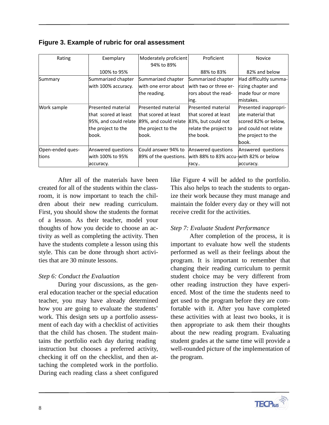| Rating           | Exemplary             | Moderately proficient | Proficient                             | <b>Novice</b>          |
|------------------|-----------------------|-----------------------|----------------------------------------|------------------------|
|                  |                       | 94% to 89%            |                                        |                        |
|                  | 100% to 95%           |                       | 88% to 83%                             | 82% and below          |
| Summary          | Summarized chapter    | Summarized chapter    | Summarized chapter                     | Had difficultly summa- |
|                  | with 100% accuracy.   | with one error about  | with two or three er-                  | rizing chapter and     |
|                  |                       | the reading.          | rors about the read-                   | lmade four or more     |
|                  |                       |                       | ing.                                   | mistakes.              |
| Work sample      | Presented material    | Presented material    | Presented material                     | Presented inappropri-  |
|                  | that scored at least  | that scored at least  | that scored at least                   | late material that     |
|                  | 95%, and could relate | 89%, and could relate | 83%, but could not                     | scored 82% or below,   |
|                  | the project to the    | the project to the    | relate the project to                  | land could not relate  |
|                  | book.                 | lbook.                | the book.                              | the project to the     |
|                  |                       |                       |                                        | lbook.                 |
| Open-ended ques- | Answered questions    | Could answer 94% to   | Answered questions                     | Answered questions     |
| tions            | with 100% to 95%      | 89% of the questions. | with 88% to 83% accu-with 82% or below |                        |
|                  | accuracy.             |                       | racy                                   | accuracy.              |

After all of the materials have been created for all of the students within the classroom, it is now important to teach the children about their new reading curriculum. First, you should show the students the format of a lesson. As their teacher, model your thoughts of how you decide to choose an activity as well as completing the activity. Then have the students complete a lesson using this style. This can be done through short activities that are 30 minute lessons.

#### *Step 6: Conduct the Evaluation*

During your discussions, as the general education teacher or the special education teacher, you may have already determined how you are going to evaluate the students' work. This design sets up a portfolio assessment of each day with a checklist of activities that the child has chosen. The student maintains the portfolio each day during reading instruction but chooses a preferred activity, checking it off on the checklist, and then attaching the completed work in the portfolio. During each reading class a sheet configured

like Figure 4 will be added to the portfolio. This also helps to teach the students to organize their work because they must manage and maintain the folder every day or they will not receive credit for the activities.

#### *Step 7: Evaluate Student Performance*

After completion of the process, it is important to evaluate how well the students performed as well as their feelings about the program. It is important to remember that changing their reading curriculum to permit student choice may be very different from other reading instruction they have experienced. Most of the time the students need to get used to the program before they are comfortable with it. After you have completed these activities with at least two books, it is then appropriate to ask them their thoughts about the new reading program. Evaluating student grades at the same time will provide a well-rounded picture of the implementation of the program.

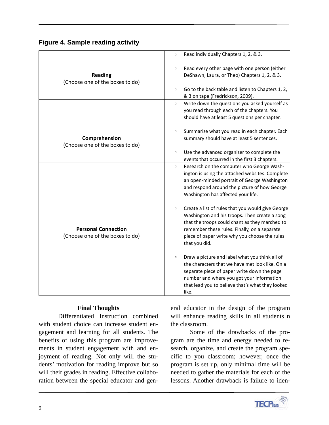|  |  | <b>Figure 4. Sample reading activity</b> |  |
|--|--|------------------------------------------|--|
|  |  |                                          |  |

|                                 | Read individually Chapters 1, 2, & 3.<br>$\Box$             |
|---------------------------------|-------------------------------------------------------------|
|                                 | Read every other page with one person (either<br>$\Box$     |
| <b>Reading</b>                  | DeShawn, Laura, or Theo) Chapters 1, 2, & 3.                |
| (Choose one of the boxes to do) |                                                             |
|                                 | Go to the back table and listen to Chapters 1, 2,<br>$\Box$ |
|                                 | & 3 on tape (Fredrickson, 2009).                            |
|                                 | Write down the questions you asked yourself as<br>$\Box$    |
|                                 | you read through each of the chapters. You                  |
|                                 | should have at least 5 questions per chapter.               |
|                                 |                                                             |
|                                 | Summarize what you read in each chapter. Each<br>$\Box$     |
| Comprehension                   | summary should have at least 5 sentences.                   |
| (Choose one of the boxes to do) |                                                             |
|                                 | Use the advanced organizer to complete the<br>$\Box$        |
|                                 | events that occurred in the first 3 chapters.               |
|                                 | Research on the computer who George Wash-<br>$\Box$         |
|                                 | ington is using the attached websites. Complete             |
|                                 | an open-minded portrait of George Washington                |
|                                 | and respond around the picture of how George                |
|                                 | Washington has affected your life.                          |
|                                 |                                                             |
|                                 | Create a list of rules that you would give George<br>$\Box$ |
|                                 | Washington and his troops. Then create a song               |
|                                 | that the troops could chant as they marched to              |
| <b>Personal Connection</b>      | remember these rules. Finally, on a separate                |
| (Choose one of the boxes to do) | piece of paper write why you choose the rules               |
|                                 | that you did.                                               |
|                                 |                                                             |
|                                 | Draw a picture and label what you think all of<br>$\Box$    |
|                                 | the characters that we have met look like. On a             |
|                                 | separate piece of paper write down the page                 |
|                                 | number and where you got your information                   |
|                                 | that lead you to believe that's what they looked            |
|                                 | like.                                                       |

#### **Final Thoughts**

Differentiated Instruction combined with student choice can increase student engagement and learning for all students. The benefits of using this program are improvements in student engagement with and enjoyment of reading. Not only will the students' motivation for reading improve but so will their grades in reading. Effective collaboration between the special educator and general educator in the design of the program will enhance reading skills in all students n the classroom.

Some of the drawbacks of the program are the time and energy needed to research, organize, and create the program specific to you classroom; however, once the program is set up, only minimal time will be needed to gather the materials for each of the lessons. Another drawback is failure to iden-

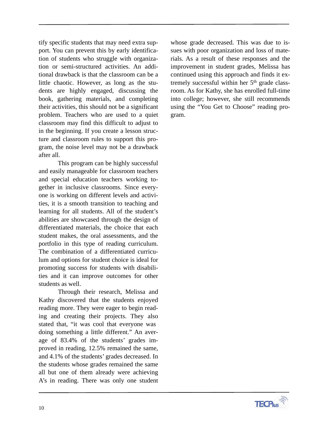tify specific students that may need extra support. You can prevent this by early identification of students who struggle with organization or semi-structured activities. An additional drawback is that the classroom can be a little chaotic. However, as long as the students are highly engaged, discussing the book, gathering materials, and completing their activities, this should not be a significant problem. Teachers who are used to a quiet classroom may find this difficult to adjust to in the beginning. If you create a lesson structure and classroom rules to support this program, the noise level may not be a drawback after all.

This program can be highly successful and easily manageable for classroom teachers and special education teachers working together in inclusive classrooms. Since everyone is working on different levels and activities, it is a smooth transition to teaching and learning for all students. All of the student's abilities are showcased through the design of differentiated materials, the choice that each student makes, the oral assessments, and the portfolio in this type of reading curriculum. The combination of a differentiated curriculum and options for student choice is ideal for promoting success for students with disabilities and it can improve outcomes for other students as well.

Through their research, Melissa and Kathy discovered that the students enjoyed reading more. They were eager to begin reading and creating their projects. They also stated that, "it was cool that everyone was doing something a little different." An average of 83.4% of the students' grades improved in reading, 12.5% remained the same, and 4.1% of the students' grades decreased. In the students whose grades remained the same all but one of them already were achieving A's in reading. There was only one student

whose grade decreased. This was due to issues with poor organization and loss of materials. As a result of these responses and the improvement in student grades, Melissa has continued using this approach and finds it extremely successful within her 5<sup>th</sup> grade classroom. As for Kathy, she has enrolled full-time into college; however, she still recommends using the "You Get to Choose" reading program.